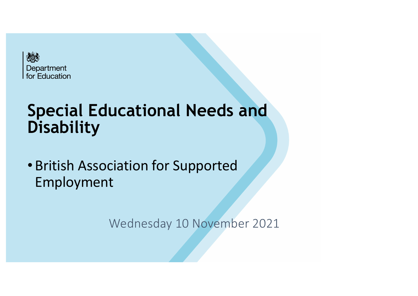

# **Special Educational Needs and Disability**

• British Association for Supported Employment

Wednesday 10 November 2021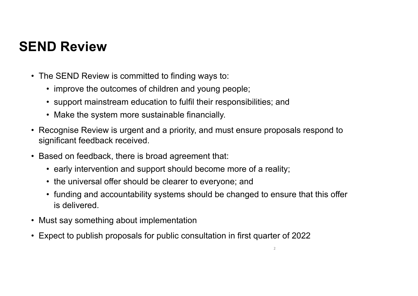## **SEND Review**

- The SEND Review is committed to finding ways to:
	- improve the outcomes of children and young people;
	- support mainstream education to fulfil their responsibilities; and
	- Make the system more sustainable financially.
- Recognise Review is urgent and a priority, and must ensure proposals respond to significant feedback received.
- Based on feedback, there is broad agreement that:
	- early intervention and support should become more of a reality;
	- the universal offer should be clearer to everyone; and
	- funding and accountability systems should be changed to ensure that this offer is delivered.
- Must say something about implementation
- Expect to publish proposals for public consultation in first quarter of 2022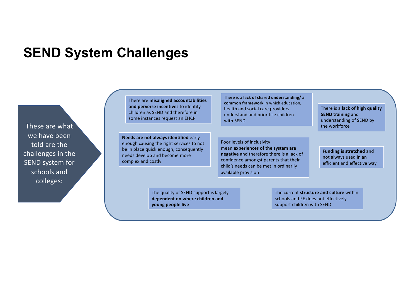#### **SEND System Challenges**

These are what we have been told are the challenges in the SEND system for schools and colleges:

There are **misaligned accountabilities and perverse incentives** to identify children as SEND and therefore in some instances request an EHCP

**Needs are not always identified** early enough causing the right services to not be in place quick enough, consequently needs develop and become more complex and costly

There is a **lack of shared understanding/ a common framework** in which education, health and social care providers understand and prioritise children with SEND

Poor levels of inclusivity mean **experiences of the system are negative** and therefore there is a lack of confidence amongst parents that their child's needs can be met in ordinarily available provision

The quality of SEND support is largely **dependent on where children and young people live**

The current **structure and culture** within schools and FE does not effectively support children with SEND

There is a **lack of high quality SEND training** and understanding of SEND by the workforce

**Funding is stretched** and not always used in an efficient and effective way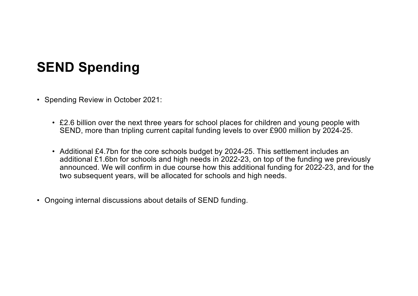## **SEND Spending**

- Spending Review in October 2021:
	- £2.6 billion over the next three years for school places for children and young people with SEND, more than tripling current capital funding levels to over £900 million by 2024-25.
	- Additional £4.7bn for the core schools budget by 2024-25. This settlement includes an additional £1.6bn for schools and high needs in 2022-23, on top of the funding we previously announced. We will confirm in due course how this additional funding for 2022-23, and for the two subsequent years, will be allocated for schools and high needs.
- Ongoing internal discussions about details of SEND funding.